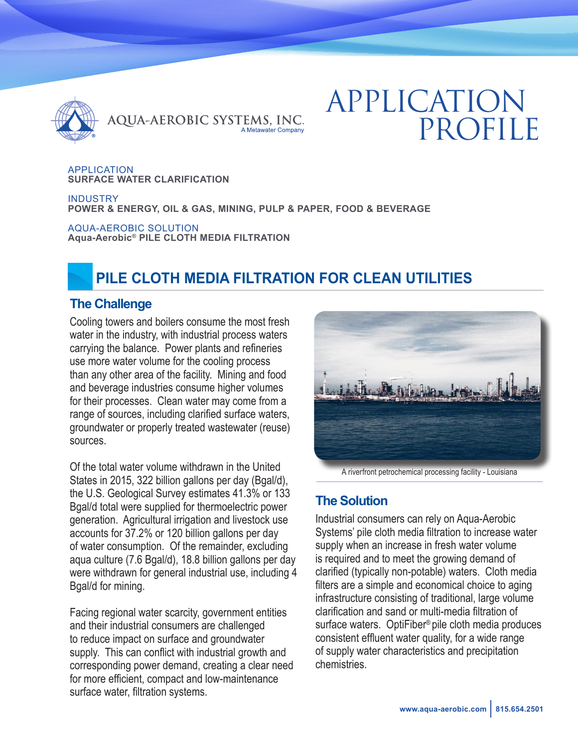

# APPLICATION PROFILE

APPLICATION **SURFACE WATER CLARIFICATION**

**INDUSTRY POWER & ENERGY, OIL & GAS, MINING, PULP & PAPER, FOOD & BEVERAGE**

AQUA-AEROBIC SOLUTION **Aqua-Aerobic® PILE CLOTH MEDIA FILTRATION**

# **PILE CLOTH MEDIA FILTRATION FOR CLEAN UTILITIES**

#### **The Challenge**

Cooling towers and boilers consume the most fresh water in the industry, with industrial process waters carrying the balance. Power plants and refineries use more water volume for the cooling process than any other area of the facility. Mining and food and beverage industries consume higher volumes for their processes. Clean water may come from a range of sources, including clarified surface waters, groundwater or properly treated wastewater (reuse) sources.

Of the total water volume withdrawn in the United States in 2015, 322 billion gallons per day (Bgal/d), the U.S. Geological Survey estimates 41.3% or 133 Bgal/d total were supplied for thermoelectric power generation. Agricultural irrigation and livestock use accounts for 37.2% or 120 billion gallons per day of water consumption. Of the remainder, excluding aqua culture (7.6 Bgal/d), 18.8 billion gallons per day were withdrawn for general industrial use, including 4 Bgal/d for mining.

Facing regional water scarcity, government entities and their industrial consumers are challenged to reduce impact on surface and groundwater supply. This can conflict with industrial growth and corresponding power demand, creating a clear need for more efficient, compact and low-maintenance surface water, filtration systems.



A riverfront petrochemical processing facility - Louisiana

## **The Solution**

Industrial consumers can rely on Aqua-Aerobic Systems' pile cloth media filtration to increase water supply when an increase in fresh water volume is required and to meet the growing demand of clarified (typically non-potable) waters. Cloth media filters are a simple and economical choice to aging infrastructure consisting of traditional, large volume clarification and sand or multi-media filtration of surface waters. OptiFiber® pile cloth media produces consistent effluent water quality, for a wide range of supply water characteristics and precipitation chemistries.